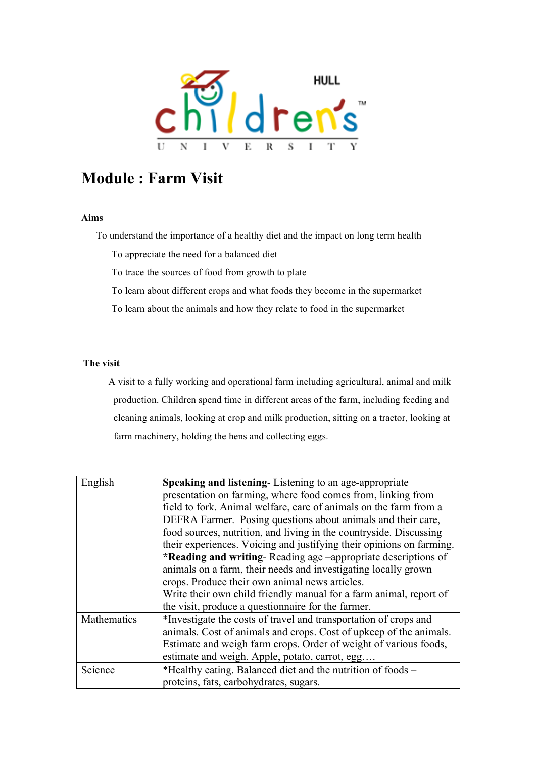

## **Module : Farm Visit**

## **Aims**

To understand the importance of a healthy diet and the impact on long term health

To appreciate the need for a balanced diet

To trace the sources of food from growth to plate

To learn about different crops and what foods they become in the supermarket

To learn about the animals and how they relate to food in the supermarket

## **The visit**

A visit to a fully working and operational farm including agricultural, animal and milk production. Children spend time in different areas of the farm, including feeding and cleaning animals, looking at crop and milk production, sitting on a tractor, looking at farm machinery, holding the hens and collecting eggs.

| English     | Speaking and listening-Listening to an age-appropriate               |
|-------------|----------------------------------------------------------------------|
|             | presentation on farming, where food comes from, linking from         |
|             | field to fork. Animal welfare, care of animals on the farm from a    |
|             | DEFRA Farmer. Posing questions about animals and their care,         |
|             | food sources, nutrition, and living in the countryside. Discussing   |
|             | their experiences. Voicing and justifying their opinions on farming. |
|             | <b>*Reading and writing-Reading age -appropriate descriptions of</b> |
|             | animals on a farm, their needs and investigating locally grown       |
|             | crops. Produce their own animal news articles.                       |
|             | Write their own child friendly manual for a farm animal, report of   |
|             | the visit, produce a question aire for the farmer.                   |
| Mathematics | *Investigate the costs of travel and transportation of crops and     |
|             | animals. Cost of animals and crops. Cost of upkeep of the animals.   |
|             | Estimate and weigh farm crops. Order of weight of various foods,     |
|             | estimate and weigh. Apple, potato, carrot, egg                       |
| Science     | *Healthy eating. Balanced diet and the nutrition of foods –          |
|             | proteins, fats, carbohydrates, sugars.                               |